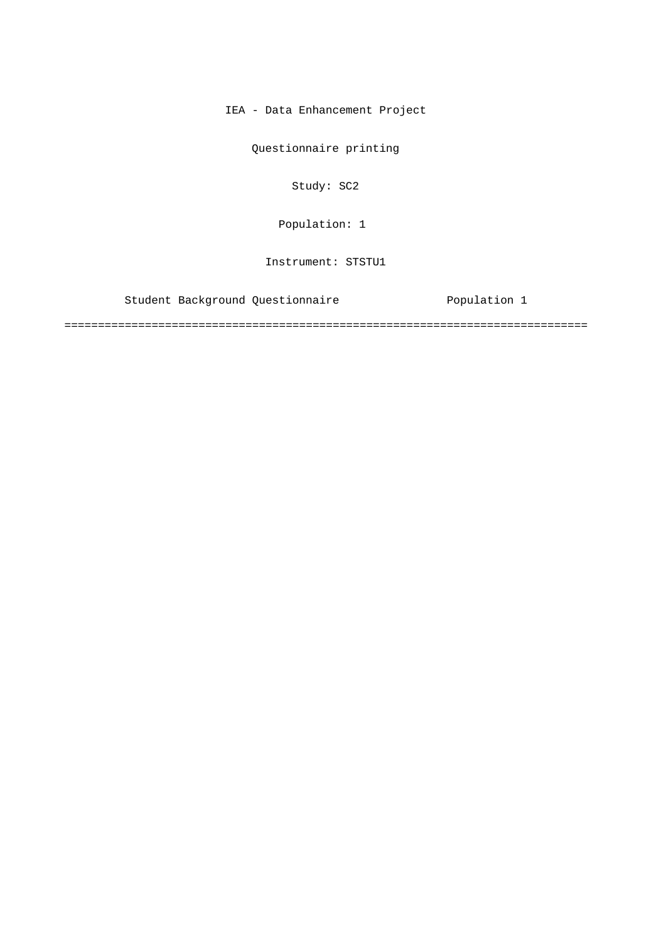IEA - Data Enhancement Project

Questionnaire printing

Study: SC2

Population: 1

Instrument: STSTU1

Student Background Questionnaire Population 1

==============================================================================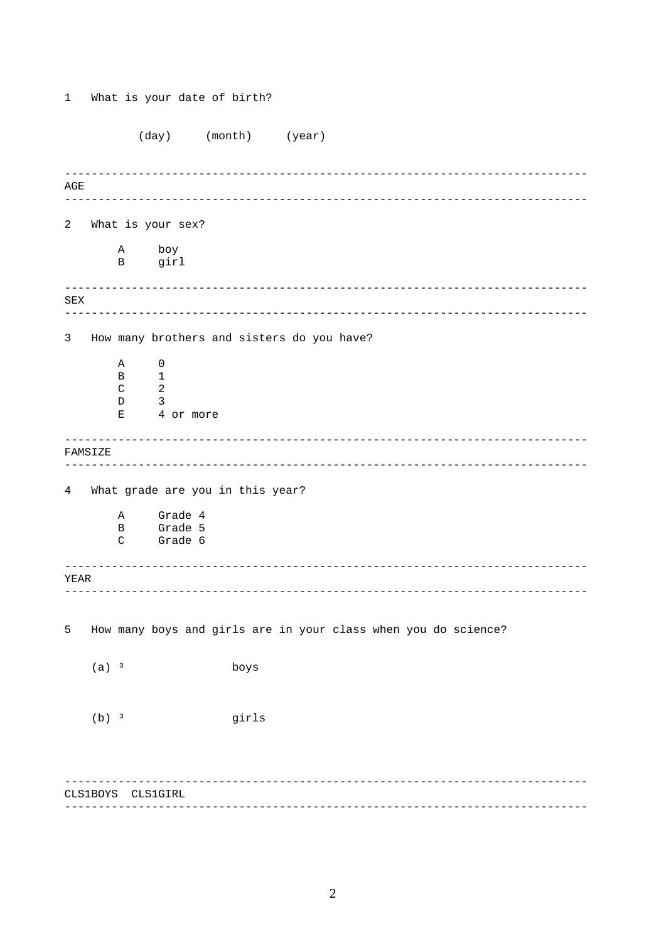(day) (month) (year) AGE 2 What is your sex?  $\tt A$ boy  $\mathbf{B}$ girl  ${\tt SEX}$  $\overline{3}$ How many brothers and sisters do you have?  $\overline{A}$  $\overline{0}$  $\mathbf{B}$  $\mathbf{1}$  $\overline{2}$  $\mathcal{C}$  $\overline{\mathbf{3}}$  $D$ 4 or more  $\mathbf{E}^-$ FAMSIZE 4 What grade are you in this year? Grade 4  $\mathbb{A}$ Grade 5  $\mathbf{B}$ Grade 6  $\mathrm{C}$ YEAR 5 How many boys and girls are in your class when you do science?  $(a)$ <sup>3</sup> boys  $(b)$  3 girls CLS1BOYS CLS1GIRL

What is your date of birth?

 $\mathbf{1}$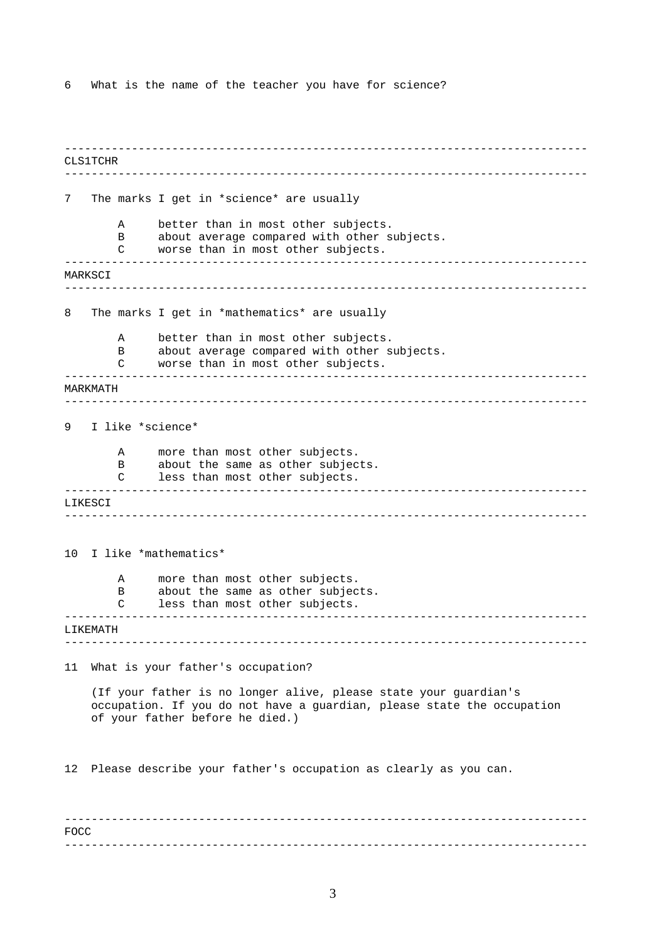6 What is the name of the teacher you have for science?

------------------------------------------------------------------------------ ------------------------------------------------------------------------------ ------------------------------------------------------------------------------ ------------------------------------------------------------------------------  $-$ ------------------------------------------------------------------------------ ------------------------------------------------------------------------------ ------------------------------------------------------------------------------ ------------------------------------------------------------------------------ ------------------------------------------------------------------------------ ------------------------------------------------------------------------------ CLS1TCHR 7 The marks I get in \*science\* are usually A better than in most other subjects. B about average compared with other subjects. C worse than in most other subjects. **MARKSCT** 8 The marks I get in \*mathematics\* are usually A better than in most other subjects. B about average compared with other subjects. C worse than in most other subjects. MARKMATH 9 I like \*science\* A more than most other subjects. B about the same as other subjects.<br>C less than most other subjects. less than most other subjects. LIKESCI 10 I like \*mathematics\* A more than most other subjects. B about the same as other subjects. C less than most other subjects. LIKEMATH 11 What is your father's occupation? (If your father is no longer alive, please state your guardian's occupation. If you do not have a guardian, please state the occupation of your father before he died.) 12 Please describe your father's occupation as clearly as you can. FOCC

------------------------------------------------------------------------------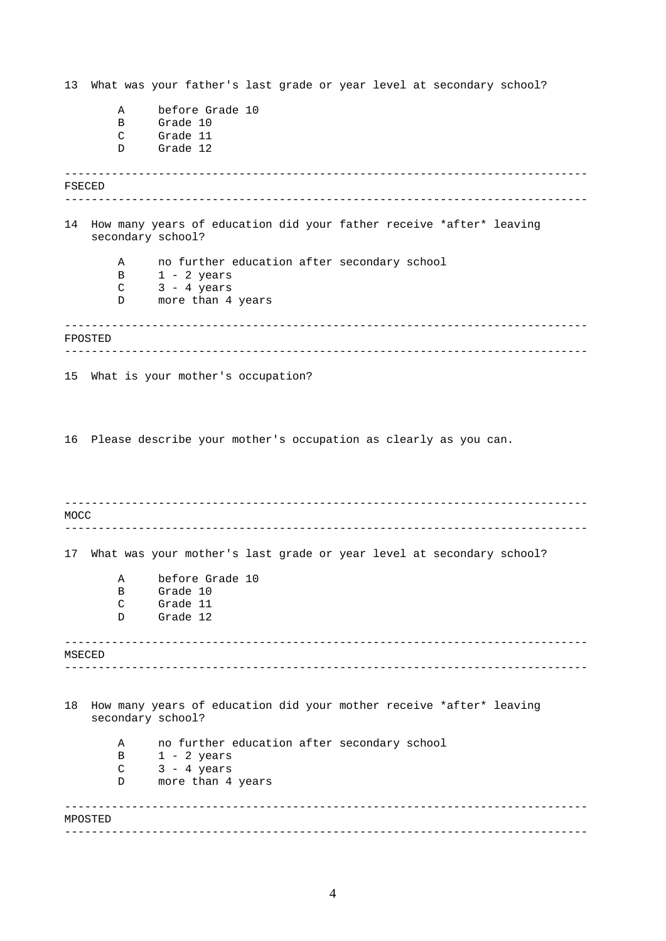------------------------------------------------------------------------------ ------------------------------------------------------------------------------ ------------------------------------------------------------------------------ ------------------------------------------------------------------------------ ------------------------------------------------------------------------------ ------------------------------------------------------------------------------ ------------------------------------------------------------------------------ ------------------------------------------------------------------------------ ------------------------------------------------------------------------------ ------------------------------------------------------------------------------ 13 What was your father's last grade or year level at secondary school? A before Grade 10 B Grade 10 C Grade 11 D Grade 12 FSECED 14 How many years of education did your father receive \*after\* leaving secondary school? A no further education after secondary school B 1 - 2 years C 3 - 4 years D more than 4 years FPOSTED 15 What is your mother's occupation? 16 Please describe your mother's occupation as clearly as you can. MOCC 17 What was your mother's last grade or year level at secondary school? A before Grade 10 B Grade 10 C Grade 11 D Grade 12 MSECED 18 How many years of education did your mother receive \*after\* leaving secondary school? A no further education after secondary school  $B$  1 - 2 years  $C$  3 - 4 years D more than 4 years MPOSTED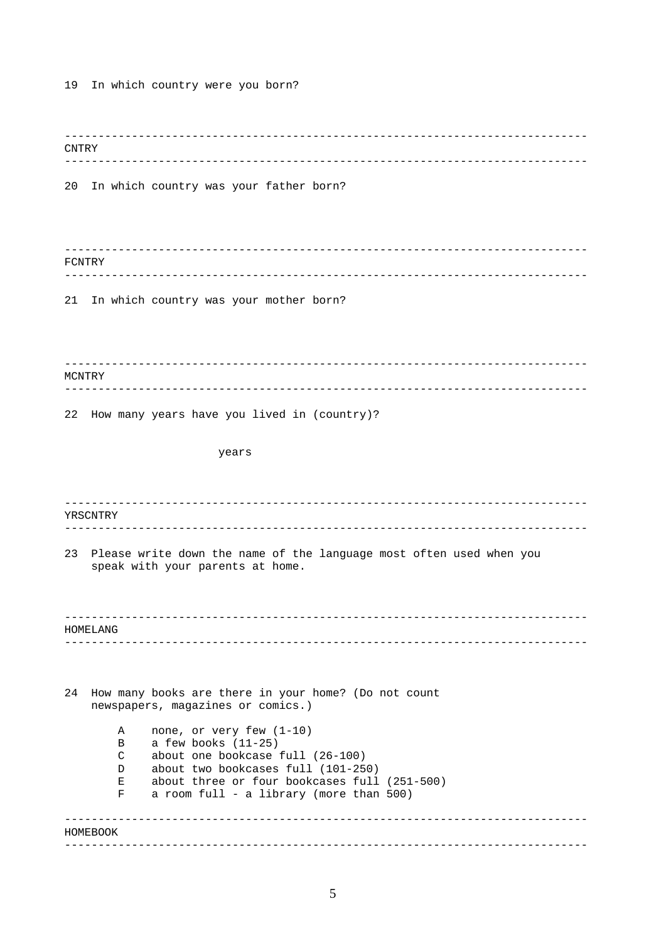19 In which country were you born?

------------------------------------------------------------------------------ ------------------------------------------------------------------------------ ------------------------------------------------------------------------------ ------------------------------------------------------------------------------ ------------------------------------------------------------------------------ ------------------------------------------------------------------------------ ------------------------------------------------------------------------------ ------------------------------------------------------------------------------ ------------------------------------------------------------------------------ ------------------------------------------------------------------------------ ------------------------------------------------------------------------------ ------------------------------------------------------------------------------ CNTRY 20 In which country was your father born? FCNTRY 21 In which country was your mother born? MCNTRY 22 How many years have you lived in (country)? years YRSCNTRY 23 Please write down the name of the language most often used when you speak with your parents at home. HOMELANG 24 How many books are there in your home? (Do not count newspapers, magazines or comics.) A none, or very few (1-10) B a few books (11-25) C about one bookcase full (26-100) D about two bookcases full (101-250) E about three or four bookcases full (251-500) F a room full - a library (more than 500) HOMEBOOK